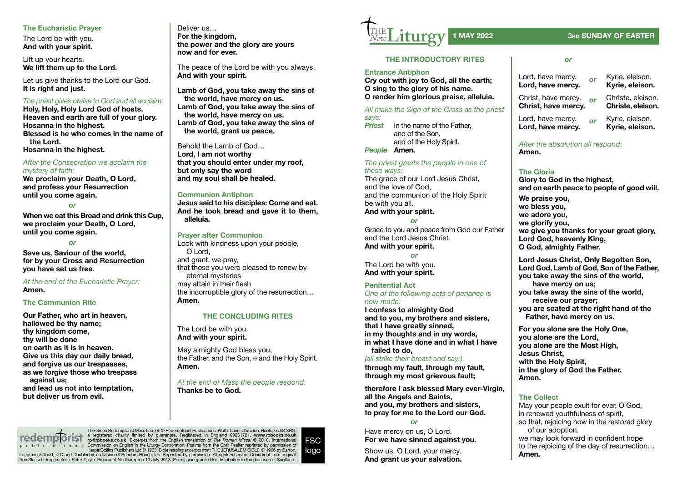#### **The Eucharistic Prayer**

The Lord be with you. **And with your spirit.**

#### Lift up your hearts. **We lift them up to the Lord.**

Let us give thanks to the Lord our God. **It is right and just.**

#### *The priest gives praise to God and all acclaim:*

**Holy, Holy, Holy Lord God of hosts. Heaven and earth are full of your glory. Hosanna in the highest. Blessed is he who comes in the name of the Lord. Hosanna in the highest.**

#### *After the Consecration we acclaim the mystery of faith:*

**We proclaim your Death, O Lord, and profess your Resurrection until you come again.**

#### *or*

**When we eat this Bread and drink this Cup, we proclaim your Death, O Lord, until you come again.**

#### *or*

**Save us, Saviour of the world, for by your Cross and Resurrection you have set us free.**

*At the end of the Eucharistic Prayer:*  **Amen.**

#### **The Communion Rite**

**Our Father, who art in heaven, hallowed be thy name; thy kingdom come, thy will be done on earth as it is in heaven. Give us this day our daily bread, and forgive us our trespasses, as we forgive those who trespass against us; and lead us not into temptation, but deliver us from evil.**

Deliver us… **For the kingdom, the power and the glory are yours now and for ever.**

The peace of the Lord be with you always. **And with your spirit.**

**Lamb of God, you take away the sins of the world, have mercy on us. Lamb of God, you take away the sins of the world, have mercy on us. Lamb of God, you take away the sins of the world, grant us peace.**

Behold the Lamb of God… **Lord, I am not worthy that you should enter under my roof, but only say the word and my soul shall be healed.**

# **Communion Antiphon**

**Jesus said to his disciples: Come and eat. And he took bread and gave it to them, alleluia.** 

# **Prayer after Communion**

Look with kindness upon your people, O Lord, and grant, we pray, that those you were pleased to renew by eternal mysteries may attain in their flesh the incorruptible glory of the resurrection… **Amen.**

# **THE CONCLUDING RITES**

The Lord be with you. **And with your spirit.**

May almighty God bless you, the Father, and the Son, ⊕ and the Holy Spirit. **Amen.**

## *At the end of Mass the people respond:* **Thanks be to God.**

The Green Redemptorist Mass Leaflet. © Redemptorist Publications, Wolf's Lane, Chawton, Hants, GU34 3HQ, The grigineral charity limited by guarantee. Registered in England 03261721. www.rpbooks.co.uk<br>The prephotology and E Longman & Todd, LTD and Doubleday, a division of Random House, Inc. Reprinted by permission. All rights reserved. Concordat cum originali **redemplorist** 

Ann Blackett. Imprimatur + Peter Doyle, Bishop of Northampton 13 July 2018. Permission granted for distribution in the dioceses of Scotland.

```
FSC
logo
```


# **THE INTRODUCTORY RITES**

#### **Entrance Antiphon**

**Cry out with joy to God, all the earth; O sing to the glory of his name. O render him glorious praise, alleluia.**

*All make the Sign of the Cross as the priest says:*

*Priest* In the name of the Father, and of the Son, and of the Holy Spirit. *People* **Amen.**

*The priest greets the people in one of these ways:*

The grace of our Lord Jesus Christ. and the love of God, and the communion of the Holy Spirit be with you all. **And with your spirit.**

*or*

Grace to you and peace from God our Father and the Lord Jesus Christ. **And with your spirit.**

*or* The Lord be with you. **And with your spirit.**

# **Penitential Act**

*One of the following acts of penance is now made:*

**I confess to almighty God and to you, my brothers and sisters, that I have greatly sinned, in my thoughts and in my words, in what I have done and in what I have failed to do,**

*(all strike their breast and say:)*  **through my fault, through my fault, through my most grievous fault;**

**therefore I ask blessed Mary ever-Virgin, all the Angels and Saints, and you, my brothers and sisters, to pray for me to the Lord our God.**

## *or*

Have mercy on us, O Lord. **For we have sinned against you.**

Show us, O Lord, your mercy. **And grant us your salvation.**

## **1 MAY 2022 3rd SUNDAY OF EASTER**

*or*

| Lord, have mercy.<br>Lord, have mercy.     | <b>or</b> | Kyrie, eleison.<br>Kyrie, eleison.   |
|--------------------------------------------|-----------|--------------------------------------|
| Christ, have mercy.<br>Christ, have mercy. | or        | Christe, eleison<br>Christe, eleisor |
| Lord, have mercy.<br>Lord, have mercy.     | or        | Kyrie, eleison.<br>Kyrie, eleison.   |

*After the absolution all respond:*  **Amen.**

### **The Gloria**

**Glory to God in the highest, and on earth peace to people of good will. We praise you,**

**we bless you, we adore you, we glorify you, we give you thanks for your great glory, Lord God, heavenly King, O God, almighty Father.**

**Lord Jesus Christ, Only Begotten Son, Lord God, Lamb of God, Son of the Father, you take away the sins of the world, have mercy on us; you take away the sins of the world, receive our prayer; you are seated at the right hand of the Father, have mercy on us.**

**For you alone are the Holy One, you alone are the Lord, you alone are the Most High, Jesus Christ, with the Holy Spirit, in the glory of God the Father. Amen.**

# **The Collect**

May your people exult for ever, O God, in renewed youthfulness of spirit, so that, rejoicing now in the restored glory of our adoption, we may look forward in confident hope to the rejoicing of the day of resurrection… **Amen.**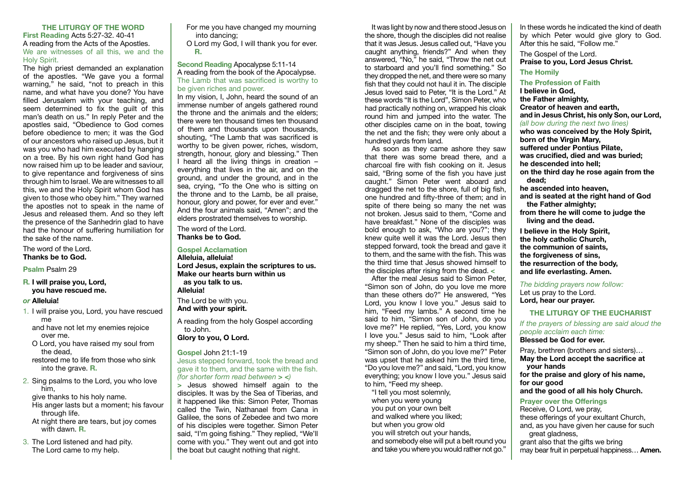#### **THE LITURGY OF THE WORD First Reading** Acts 5:27-32. 40-41 A reading from the Acts of the Apostles. We are witnesses of all this, we and the Holy Spirit.

The high priest demanded an explanation of the apostles. "We gave you a formal warning," he said, "not to preach in this name, and what have you done? You have filled Jerusalem with your teaching, and seem determined to fix the quilt of this man's death on us." In reply Peter and the apostles said, "Obedience to God comes before obedience to men; it was the God of our ancestors who raised up Jesus, but it was you who had him executed by hanging on a tree. By his own right hand God has now raised him up to be leader and saviour, to give repentance and forgiveness of sins through him to Israel. We are witnesses to all this, we and the Holy Spirit whom God has given to those who obey him." They warned the apostles not to speak in the name of Jesus and released them. And so they left the presence of the Sanhedrin glad to have had the honour of suffering humiliation for the sake of the name.

The word of the Lord. **Thanks be to God.**

#### **Psalm** Psalm 29

**R. I will praise you, Lord, you have rescued me.**

#### *or* **Alleluia!**

1. I will praise you, Lord, you have rescued me

and have not let my enemies rejoice over me.

O Lord, you have raised my soul from the dead,

restored me to life from those who sink into the grave. **R.**

2. Sing psalms to the Lord, you who love him,

give thanks to his holy name.

His anger lasts but a moment; his favour through life.

At night there are tears, but joy comes with dawn. **R.**

3. The Lord listened and had pity. The Lord came to my help.

- For me you have changed my mourning into dancing;
- O Lord my God, I will thank you for ever. **R.**

#### **Second Reading** Apocalypse 5:11-14 A reading from the book of the Apocalypse. The Lamb that was sacrificed is worthy to be given riches and power.

In my vision, I, John, heard the sound of an immense number of angels gathered round the throne and the animals and the elders; there were ten thousand times ten thousand of them and thousands upon thousands, shouting, "The Lamb that was sacrificed is worthy to be given power, riches, wisdom, strength, honour, glory and blessing." Then I heard all the living things in creation – everything that lives in the air, and on the ground, and under the ground, and in the sea, crying, "To the One who is sitting on the throne and to the Lamb, be all praise, honour, glory and power, for ever and ever." And the four animals said, "Amen"; and the elders prostrated themselves to worship.

The word of the Lord. **Thanks be to God.**

# **Gospel Acclamation**

**Alleluia, alleluia! Lord Jesus, explain the scriptures to us. Make our hearts burn within us as you talk to us. Alleluia!**

The Lord be with you. **And with your spirit.**

A reading from the holy Gospel according to John.

**Glory to you, O Lord.** 

#### **Gospel** John 21:1-19

Jesus stepped forward, took the bread and gave it to them, and the same with the fish. *(for shorter form read between > <)*

**>** Jesus showed himself again to the disciples. It was by the Sea of Tiberias, and it happened like this: Simon Peter, Thomas called the Twin, Nathanael from Cana in Galilee, the sons of Zebedee and two more of his disciples were together. Simon Peter said, "I'm going fishing." They replied, "We'll come with you." They went out and got into the boat but caught nothing that night.

It was light by now and there stood Jesus on the shore, though the disciples did not realise that it was Jesus. Jesus called out, "Have you caught anything, friends?" And when they answered, "No," he said, "Throw the net out to starboard and you'll find something." So they dropped the net, and there were so many fish that they could not haul it in. The disciple Jesus loved said to Peter, "It is the Lord." At these words "It is the Lord", Simon Peter, who had practically nothing on, wrapped his cloak round him and jumped into the water. The other disciples came on in the boat, towing the net and the fish; they were only about a hundred yards from land.

As soon as they came ashore they saw that there was some bread there, and a charcoal fire with fish cooking on it. Jesus said. "Bring some of the fish you have just caught." Simon Peter went aboard and dragged the net to the shore, full of big fish, one hundred and fifty-three of them; and in spite of there being so many the net was not broken. Jesus said to them, "Come and have breakfast." None of the disciples was bold enough to ask, "Who are you?"; they knew quite well it was the Lord. Jesus then stepped forward, took the bread and gave it to them, and the same with the fish. This was the third time that Jesus showed himself to the disciples after rising from the dead. **<**

After the meal Jesus said to Simon Peter, "Simon son of John, do you love me more than these others do?" He answered, "Yes Lord, you know I love you." Jesus said to him, "Feed my lambs." A second time he said to him, "Simon son of John, do you love me?" He replied, "Yes, Lord, you know I love you." Jesus said to him, "Look after my sheep." Then he said to him a third time, "Simon son of John, do you love me?" Peter was upset that he asked him the third time, "Do you love me?" and said, "Lord, you know everything; you know I love you." Jesus said to him, "Feed my sheep.

"I tell you most solemnly, when you were young you put on your own belt and walked where you liked; but when you grow old you will stretch out your hands, and somebody else will put a belt round you and take you where you would rather not go."

In these words he indicated the kind of death by which Peter would give glory to God. After this he said, "Follow me."

The Gospel of the Lord. **Praise to you, Lord Jesus Christ.**

#### **The Homily**

#### **The Profession of Faith**

**I believe in God, the Father almighty, Creator of heaven and earth, and in Jesus Christ, his only Son, our Lord,** *(all bow during the next two lines)*

**who was conceived by the Holy Spirit, born of the Virgin Mary, suffered under Pontius Pilate, was crucified, died and was buried; he descended into hell; on the third day he rose again from the dead;**

**he ascended into heaven,**

**and is seated at the right hand of God the Father almighty;**

**from there he will come to judge the living and the dead.**

**I believe in the Holy Spirit, the holy catholic Church, the communion of saints, the forgiveness of sins, the resurrection of the body, and life everlasting. Amen.**

*The bidding prayers now follow:* Let us pray to the Lord.

**Lord, hear our prayer.**

### **THE LITURGY OF THE EUCHARIST**

*If the prayers of blessing are said aloud the people acclaim each time:* 

**Blessed be God for ever.**

Pray, brethren (brothers and sisters)… **May the Lord accept the sacrifice at your hands**

**for the praise and glory of his name, for our good**

**and the good of all his holy Church.**

#### **Prayer over the Offerings**

Receive, O Lord, we pray, these offerings of your exultant Church, and, as you have given her cause for such great gladness, grant also that the gifts we bring

may bear fruit in perpetual happiness… **Amen.**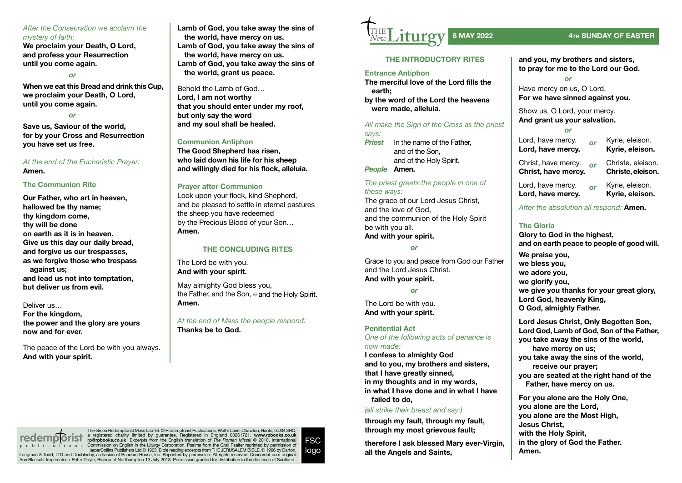# *After the Consecration we acclaim the mystery of faith:*

**We proclaim your Death, O Lord, and profess your Resurrection until you come again.**

#### *or*

**When we eat this Bread and drink this Cup, we proclaim your Death, O Lord, until you come again.**

#### *or*

**Save us, Saviour of the world, for by your Cross and Resurrection you have set us free.**

### *At the end of the Eucharistic Prayer:*  **Amen.**

#### **The Communion Rite**

**Our Father, who art in heaven, hallowed be thy name; thy kingdom come, thy will be done on earth as it is in heaven. Give us this day our daily bread, and forgive us our trespasses, as we forgive those who trespass against us; and lead us not into temptation, but deliver us from evil.**

### Deliver us…

**For the kingdom, the power and the glory are yours now and for ever.**

The peace of the Lord be with you always. **And with your spirit.**

**Lamb of God, you take away the sins of the world, have mercy on us. Lamb of God, you take away the sins of the world, have mercy on us. Lamb of God, you take away the sins of the world, grant us peace.**

Behold the Lamb of God… **Lord, I am not worthy that you should enter under my roof,**

**but only say the word and my soul shall be healed.**

### **Communion Antiphon**

**The Good Shepherd has risen, who laid down his life for his sheep and willingly died for his flock, alleluia.**

#### **Prayer after Communion**

Look upon your flock, kind Shepherd, and be pleased to settle in eternal pastures the sheep you have redeemed by the Precious Blood of your Son… **Amen.**

# **THE CONCLUDING RITES**

The Lord be with you. **And with your spirit.**

May almighty God bless you, the Father, and the Son, ⊕ and the Holy Spirit. **Amen.**

*At the end of Mass the people respond:* **Thanks be to God.**

*iturgy New*

# **THE INTRODUCTORY RITES**

#### **Entrance Antiphon**

**The merciful love of the Lord fills the earth;**

**by the word of the Lord the heavens were made, alleluia.**

# *All make the Sign of the Cross as the priest says:*

*Priest* In the name of the Father, and of the Son, and of the Holy Spirit.

*People* **Amen.**

# *The priest greets the people in one of these ways:*

The grace of our Lord Jesus Christ. and the love of God, and the communion of the Holy Spirit be with you all. **And with your spirit.**

*or*

Grace to you and peace from God our Father and the Lord Jesus Christ. **And with your spirit.**

*or*

The Lord be with you. **And with your spirit.**

## **Penitential Act**

*One of the following acts of penance is now made:*

**I confess to almighty God and to you, my brothers and sisters, that I have greatly sinned, in my thoughts and in my words, in what I have done and in what I have failed to do,**

#### *(all strike their breast and say:)*

**through my fault, through my fault, through my most grievous fault;**

**therefore I ask blessed Mary ever-Virgin, all the Angels and Saints,**

**and you, my brothers and sisters, to pray for me to the Lord our God.**

## *or* Have mercy on us, O Lord. **For we have sinned against you.**

#### Show us, O Lord, your mercy. **And grant us your salvation.**

*or*

Lord, have mercy. *or* Kyrie, eleison.

Christ, have mercy. **or** Christe, eleison.<br>**Christ, have mercy. Christe, eleison. Christ. have mercy.** 

**Lord, have mercy.** 

Lord, have mercy. *or* Kyrie, eleison. **Lord, have mercy.** 

*After the absolution all respond:* **Amen.**

# **The Gloria**

**Glory to God in the highest, and on earth peace to people of good will. We praise you, we bless you, we adore you, we glorify you, we give you thanks for your great glory, Lord God, heavenly King, O God, almighty Father.**

**Lord Jesus Christ, Only Begotten Son, Lord God, Lamb of God, Son of the Father, you take away the sins of the world, have mercy on us; you take away the sins of the world, receive our prayer; you are seated at the right hand of the Father, have mercy on us.**

**For you alone are the Holy One, you alone are the Lord, you alone are the Most High, Jesus Christ, with the Holy Spirit, in the glory of God the Father. Amen.**



FSC logo

**8 MAY 2022 4th SUNDAY OF EASTER**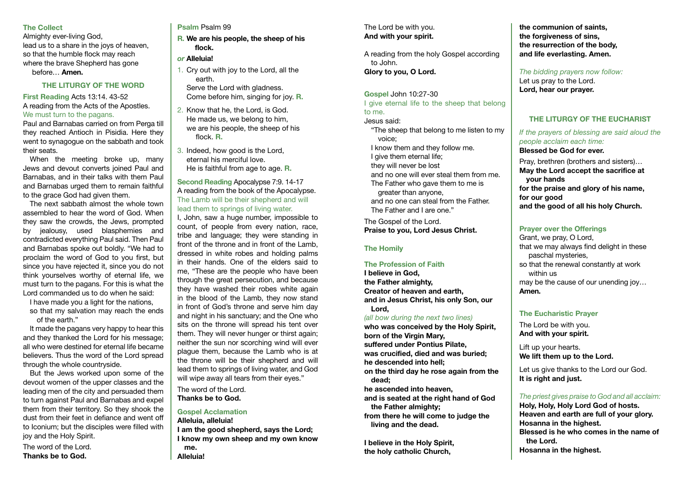#### **The Collect**

Almighty ever-living God, lead us to a share in the joys of heaven, so that the humble flock may reach where the brave Shepherd has gone before… **Amen.**

# **THE LITURGY OF THE WORD**

#### **First Reading** Acts 13:14. 43-52 A reading from the Acts of the Apostles. We must turn to the pagans.

Paul and Barnabas carried on from Perga till they reached Antioch in Pisidia. Here they went to synagogue on the sabbath and took their seats.

When the meeting broke up, many Jews and devout converts joined Paul and Barnabas, and in their talks with them Paul and Barnabas urged them to remain faithful to the grace God had given them.

The next sabbath almost the whole town assembled to hear the word of God. When they saw the crowds, the Jews, prompted by jealousy, used blasphemies and contradicted everything Paul said. Then Paul and Barnabas spoke out boldly. "We had to proclaim the word of God to you first, but since you have rejected it, since you do not think yourselves worthy of eternal life, we must turn to the pagans. For this is what the Lord commanded us to do when he said:

I have made you a light for the nations,

so that my salvation may reach the ends of the earth."

It made the pagans very happy to hear this and they thanked the Lord for his message; all who were destined for eternal life became believers. Thus the word of the Lord spread through the whole countryside.

But the Jews worked upon some of the devout women of the upper classes and the leading men of the city and persuaded them to turn against Paul and Barnabas and expel them from their territory. So they shook the dust from their feet in defiance and went off to Iconium; but the disciples were filled with joy and the Holy Spirit.

The word of the Lord. **Thanks be to God.**

# **Psalm** Psalm 99

**R. We are his people, the sheep of his flock.**

# *or* **Alleluia!**

1. Cry out with joy to the Lord, all the earth.

Serve the Lord with gladness. Come before him, singing for joy. **R.**

- 2. Know that he, the Lord, is God. He made us, we belong to him, we are his people, the sheep of his flock. **R.**
- 3. Indeed, how good is the Lord, eternal his merciful love. He is faithful from age to age. **R.**

# **Second Reading** Apocalypse 7:9. 14-17 A reading from the book of the Apocalypse. The Lamb will be their shepherd and will lead them to springs of living water.

I, John, saw a huge number, impossible to count, of people from every nation, race, tribe and language; they were standing in front of the throne and in front of the Lamb, dressed in white robes and holding palms in their hands. One of the elders said to me, "These are the people who have been through the great persecution, and because they have washed their robes white again in the blood of the Lamb, they now stand in front of God's throne and serve him day and night in his sanctuary; and the One who sits on the throne will spread his tent over them. They will never hunger or thirst again; neither the sun nor scorching wind will ever plague them, because the Lamb who is at the throne will be their shepherd and will lead them to springs of living water, and God will wipe away all tears from their eyes."

The word of the Lord. **Thanks be to God.**

# **Gospel Acclamation**

# **Alleluia, alleluia!**

**I am the good shepherd, says the Lord; I know my own sheep and my own know me. Alleluia!**

## The Lord be with you. **And with your spirit.**

A reading from the holy Gospel according to John. **Glory to you, O Lord.** 

#### **Gospel** John 10:27-30 I give eternal life to the sheep that belong

to me.

Jesus said:

"The sheep that belong to me listen to my voice; I know them and they follow me. I give them eternal life:

they will never be lost and no one will ever steal them from me.

The Father who gave them to me is

- greater than anyone,
- and no one can steal from the Father. The Father and I are one."

The Gospel of the Lord. **Praise to you, Lord Jesus Christ.**

# **The Homily**

# **The Profession of Faith**

**I believe in God, the Father almighty, Creator of heaven and earth, and in Jesus Christ, his only Son, our Lord,**

# *(all bow during the next two lines)*

**who was conceived by the Holy Spirit, born of the Virgin Mary, suffered under Pontius Pilate, was crucified, died and was buried; he descended into hell; on the third day he rose again from the dead; he ascended into heaven, and is seated at the right hand of God the Father almighty;**

**from there he will come to judge the living and the dead.**

**I believe in the Holy Spirit, the holy catholic Church,**

**the communion of saints, the forgiveness of sins, the resurrection of the body, and life everlasting. Amen.**

*The bidding prayers now follow:* Let us pray to the Lord. **Lord, hear our prayer.**

# **THE LITURGY OF THE EUCHARIST**

*If the prayers of blessing are said aloud the people acclaim each time:* 

#### **Blessed be God for ever.**

Pray, brethren (brothers and sisters)… **May the Lord accept the sacrifice at your hands for the praise and glory of his name, for our good and the good of all his holy Church.**

# **Prayer over the Offerings**

Grant, we pray, O Lord, that we may always find delight in these paschal mysteries, so that the renewal constantly at work within us may be the cause of our unending joy… **Amen.**

### **The Eucharistic Prayer**

The Lord be with you. **And with your spirit.**

Lift up your hearts. **We lift them up to the Lord.**

Let us give thanks to the Lord our God. **It is right and just.**

# *The priest gives praise to God and all acclaim:*

**Holy, Holy, Holy Lord God of hosts. Heaven and earth are full of your glory. Hosanna in the highest. Blessed is he who comes in the name of the Lord. Hosanna in the highest.**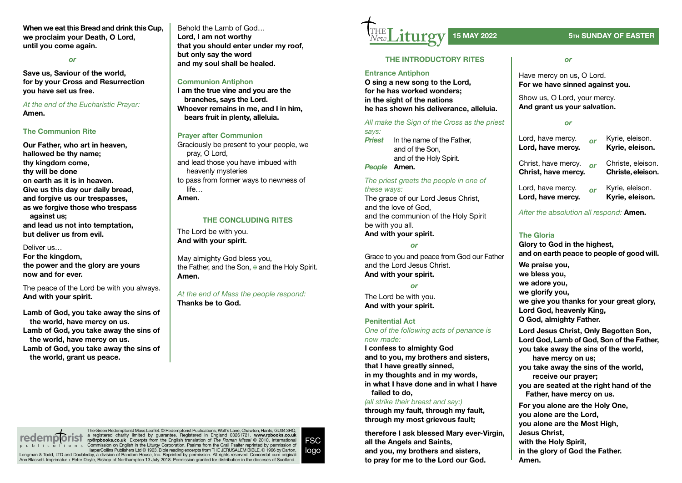**When we eat this Bread and drink this Cup, we proclaim your Death, O Lord, until you come again.**

*or*

**Save us, Saviour of the world, for by your Cross and Resurrection you have set us free.**

*At the end of the Eucharistic Prayer:*  **Amen.**

#### **The Communion Rite**

**Our Father, who art in heaven, hallowed be thy name; thy kingdom come, thy will be done on earth as it is in heaven. Give us this day our daily bread, and forgive us our trespasses, as we forgive those who trespass against us; and lead us not into temptation, but deliver us from evil.**

### Deliver us…

**For the kingdom, the power and the glory are yours now and for ever.**

The peace of the Lord be with you always. **And with your spirit.**

**Lamb of God, you take away the sins of the world, have mercy on us. Lamb of God, you take away the sins of the world, have mercy on us. Lamb of God, you take away the sins of the world, grant us peace.**

Behold the Lamb of God… **Lord, I am not worthy that you should enter under my roof, but only say the word and my soul shall be healed.**

#### **Communion Antiphon**

**I am the true vine and you are the branches, says the Lord. Whoever remains in me, and I in him, bears fruit in plenty, alleluia.**

### **Prayer after Communion**

Graciously be present to your people, we pray, O Lord, and lead those you have imbued with heavenly mysteries to pass from former ways to newness of life… **Amen.**

# **THE CONCLUDING RITES**

The Lord be with you. **And with your spirit.**

May almighty God bless you, the Father, and the Son, ⊕ and the Holy Spirit. **Amen.**

# *At the end of Mass the people respond:* **Thanks be to God.**

# **THE INTRODUCTORY RITES**

#### **Entrance Antiphon**

**O sing a new song to the Lord, for he has worked wonders; in the sight of the nations he has shown his deliverance, alleluia.**

*All make the Sign of the Cross as the priest says:*

*Priest* In the name of the Father and of the Son, and of the Holy Spirit.

# *People* **Amen.**

*The priest greets the people in one of these ways:* The grace of our Lord Jesus Christ.

and the love of God, and the communion of the Holy Spirit be with you all. **And with your spirit.**

#### *or*

Grace to you and peace from God our Father and the Lord Jesus Christ. **And with your spirit.**

*or*

The Lord be with you. **And with your spirit.**

### **Penitential Act**

*One of the following acts of penance is now made:*

**I confess to almighty God and to you, my brothers and sisters, that I have greatly sinned, in my thoughts and in my words, in what I have done and in what I have failed to do,**

# *(all strike their breast and say:)*

**through my fault, through my fault, through my most grievous fault;**

**therefore I ask blessed Mary ever-Virgin, all the Angels and Saints, and you, my brothers and sisters, to pray for me to the Lord our God.**

### *or*

Have mercy on us, O Lord. **For we have sinned against you.**

Show us, O Lord, your mercy. **And grant us your salvation.**

#### *or*

Lord, have mercy. *or* Kyrie, eleison. Lord, have mercy. Christ, have mercy. *or* Christe, eleison. **Christ, have mercy.** 

Lord, have mercy. *or* Kyrie, eleison. **Lord, have mercy.** 

*After the absolution all respond:* **Amen.**

# **The Gloria**

**Glory to God in the highest, and on earth peace to people of good will. We praise you, we bless you, we adore you, we glorify you, we give you thanks for your great glory, Lord God, heavenly King, O God, almighty Father. Lord Jesus Christ, Only Begotten Son, Lord God, Lamb of God, Son of the Father, you take away the sins of the world, have mercy on us; you take away the sins of the world, receive our prayer; you are seated at the right hand of the Father, have mercy on us. For you alone are the Holy One, you alone are the Lord, you alone are the Most High, Jesus Christ, with the Holy Spirit, in the glory of God the Father. Amen.**



The Green Redemptorist Mass Leaflet.© Redemptorist Publications, Wolf's Lane, Chawton, Hants, GU34 3HQ,<br>a registered charity limited by guarantee. Registered in England 03261721. www.rpbooks.co.uk<br>rp@rpbooks.co.uk Commission on English in the Liturgy Corporation. Psalms from the Grail Psalter reprinted by permission of HarperCollins Publishers Ltd © 1963. Bible reading excerpts from THE JERUSALEM BIBLE, © 1966 by Darton, Longman & Todd, LTD and Doubleday, a division of Random House, Inc. Reprinted by permission. All rights reserved. Concordat cum originali Ann Blackett. Imprimatur + Peter Doyle, Bishop of Northampton 13 July 2018. Permission granted for distribution in the dioceses of Scotland.

```
FSC
logo
```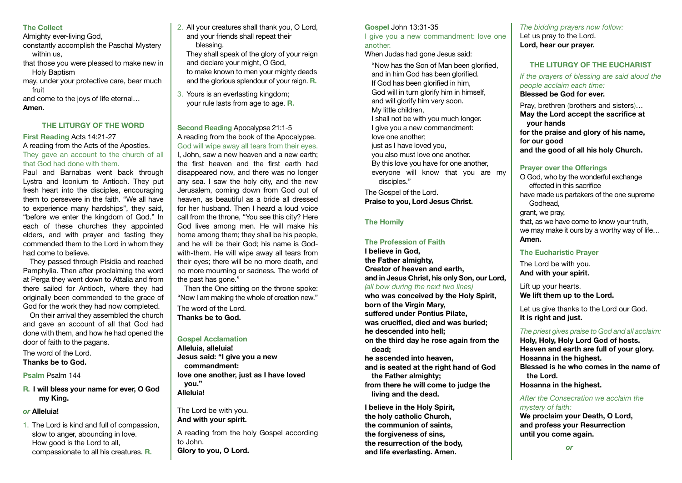# **The Collect**

- Almighty ever-living God, constantly accomplish the Paschal Mystery within us.
- that those you were pleased to make new in Holy Baptism
- may, under your protective care, bear much fruit

and come to the joys of life eternal… **Amen.**

# **THE LITURGY OF THE WORD**

## **First Reading** Acts 14:21-27 A reading from the Acts of the Apostles. They gave an account to the church of all that God had done with them.

Paul and Barnabas went back through Lystra and Iconium to Antioch. They put fresh heart into the disciples, encouraging them to persevere in the faith. "We all have to experience many hardships", they said, "before we enter the kingdom of God." In each of these churches they appointed elders, and with prayer and fasting they commended them to the Lord in whom they had come to believe.

They passed through Pisidia and reached Pamphylia. Then after proclaiming the word at Perga they went down to Attalia and from there sailed for Antioch, where they had originally been commended to the grace of God for the work they had now completed.

On their arrival they assembled the church and gave an account of all that God had done with them, and how he had opened the door of faith to the pagans.

The word of the Lord. **Thanks be to God.**

### **Psalm** Psalm 144

## **R. I will bless your name for ever, O God my King.**

# *or* **Alleluia!**

1. The Lord is kind and full of compassion, slow to anger, abounding in love. How good is the Lord to all, compassionate to all his creatures. **R.**

2. All your creatures shall thank you, O Lord, and your friends shall repeat their blessing.

They shall speak of the glory of your reign and declare your might, O God, to make known to men your mighty deeds and the glorious splendour of your reign. **R.**

3. Yours is an everlasting kingdom; your rule lasts from age to age. **R.**

**Second Reading** Apocalypse 21:1-5 A reading from the book of the Apocalypse. God will wipe away all tears from their eyes. I, John, saw a new heaven and a new earth; the first heaven and the first earth had disappeared now, and there was no longer any sea. I saw the holy city, and the new Jerusalem, coming down from God out of heaven, as beautiful as a bride all dressed for her husband. Then I heard a loud voice call from the throne, "You see this city? Here God lives among men. He will make his home among them; they shall be his people, and he will be their God; his name is Godwith-them. He will wipe away all tears from their eyes; there will be no more death, and no more mourning or sadness. The world of the past has gone."

Then the One sitting on the throne spoke: "Now I am making the whole of creation new."

The word of the Lord. **Thanks be to God.**

### **Gospel Acclamation**

**Alleluia, alleluia! Jesus said: "I give you a new commandment: love one another, just as I have loved you." Alleluia!**

The Lord be with you. **And with your spirit.**

A reading from the holy Gospel according to John. **Glory to you, O Lord.** 

#### **Gospel** John 13:31-35

I give you a new commandment: love one another.

When Judas had gone Jesus said:

"Now has the Son of Man been glorified, and in him God has been glorified. If God has been glorified in him, God will in turn glorify him in himself, and will glorify him very soon. My little children, I shall not be with you much longer. I give you a new commandment: love one another; just as I have loved you. you also must love one another. By this love you have for one another, everyone will know that you are my disciples."

The Gospel of the Lord.

**Praise to you, Lord Jesus Christ.**

# **The Homily**

### **The Profession of Faith**

**I believe in God, the Father almighty, Creator of heaven and earth, and in Jesus Christ, his only Son, our Lord,** *(all bow during the next two lines)* **who was conceived by the Holy Spirit, born of the Virgin Mary, suffered under Pontius Pilate, was crucified, died and was buried; he descended into hell; on the third day he rose again from the dead; he ascended into heaven, and is seated at the right hand of God the Father almighty; from there he will come to judge the living and the dead.**

**I believe in the Holy Spirit, the holy catholic Church, the communion of saints, the forgiveness of sins, the resurrection of the body, and life everlasting. Amen.**

*The bidding prayers now follow:* Let us pray to the Lord. **Lord, hear our prayer.**

# **THE LITURGY OF THE EUCHARIST**

#### *If the prayers of blessing are said aloud the people acclaim each time:*  **Blessed be God for ever.**

Pray, brethren (brothers and sisters)… **May the Lord accept the sacrifice at your hands for the praise and glory of his name, for our good and the good of all his holy Church.**

# **Prayer over the Offerings**

O God, who by the wonderful exchange effected in this sacrifice have made us partakers of the one supreme Godhead, grant, we pray, that, as we have come to know your truth, we may make it ours by a worthy way of life… **Amen.**

## **The Eucharistic Prayer**

The Lord be with you. **And with your spirit.**

Lift up your hearts. **We lift them up to the Lord.**

Let us give thanks to the Lord our God. **It is right and just.**

### *The priest gives praise to God and all acclaim:*

**Holy, Holy, Holy Lord God of hosts. Heaven and earth are full of your glory. Hosanna in the highest. Blessed is he who comes in the name of the Lord. Hosanna in the highest.**

### *After the Consecration we acclaim the mystery of faith:*

**We proclaim your Death, O Lord, and profess your Resurrection until you come again.**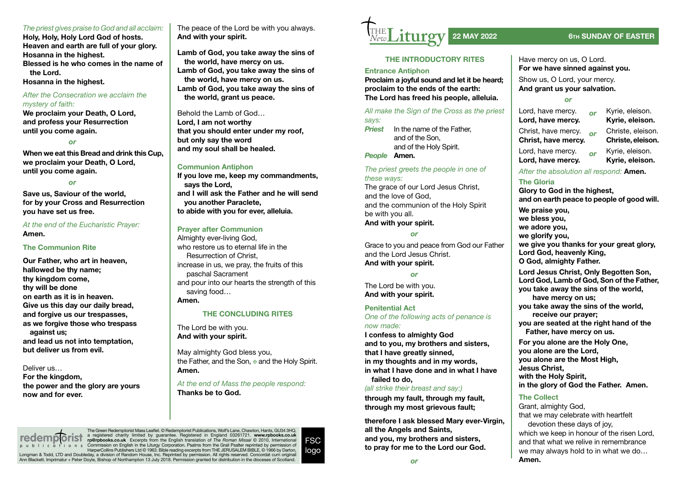#### *The priest gives praise to God and all acclaim:*

**Holy, Holy, Holy Lord God of hosts. Heaven and earth are full of your glory. Hosanna in the highest. Blessed is he who comes in the name of the Lord.**

**Hosanna in the highest.**

# *After the Consecration we acclaim the mystery of faith:*

**We proclaim your Death, O Lord, and profess your Resurrection until you come again.**

#### *or*

**When we eat this Bread and drink this Cup, we proclaim your Death, O Lord, until you come again.**

#### *or*

**Save us, Saviour of the world, for by your Cross and Resurrection you have set us free.**

## *At the end of the Eucharistic Prayer:*  **Amen.**

#### **The Communion Rite**

**Our Father, who art in heaven, hallowed be thy name; thy kingdom come, thy will be done on earth as it is in heaven. Give us this day our daily bread, and forgive us our trespasses, as we forgive those who trespass against us; and lead us not into temptation,**

**but deliver us from evil.**

#### Deliver us…

**For the kingdom, the power and the glory are yours now and for ever.**

The peace of the Lord be with you always. **And with your spirit.**

**Lamb of God, you take away the sins of the world, have mercy on us. Lamb of God, you take away the sins of the world, have mercy on us. Lamb of God, you take away the sins of the world, grant us peace.**

Behold the Lamb of God… **Lord, I am not worthy that you should enter under my roof, but only say the word and my soul shall be healed.**

#### **Communion Antiphon**

**If you love me, keep my commandments, says the Lord, and I will ask the Father and he will send you another Paraclete, to abide with you for ever, alleluia.**

### **Prayer after Communion**

Almighty ever-living God, who restore us to eternal life in the Resurrection of Christ, increase in us, we pray, the fruits of this paschal Sacrament and pour into our hearts the strength of this saving food…

**Amen.**

# **THE CONCLUDING RITES**

The Lord be with you. **And with your spirit.**

May almighty God bless you, the Father, and the Son, ⊕ and the Holy Spirit. **Amen.**

> FSC logo

## *At the end of Mass the people respond:* **Thanks be to God.**

**22 MAY 2022 6th SUNDAY OF EASTER Liturgy** 

# **THE INTRODUCTORY RITES**

#### **Entrance Antiphon**

**Proclaim a joyful sound and let it be heard; proclaim to the ends of the earth: The Lord has freed his people, alleluia.**

# *All make the Sign of the Cross as the priest*

*says:*

*Priest* In the name of the Father, and of the Son, and of the Holy Spirit.

# *People* **Amen.**

*The priest greets the people in one of these ways:*

The grace of our Lord Jesus Christ. and the love of God, and the communion of the Holy Spirit be with you all. **And with your spirit.**

#### *or*

Grace to you and peace from God our Father and the Lord Jesus Christ. **And with your spirit.**

#### *or*

The Lord be with you. **And with your spirit.**

# **Penitential Act** *One of the following acts of penance is*

*now made:*

**I confess to almighty God and to you, my brothers and sisters, that I have greatly sinned, in my thoughts and in my words, in what I have done and in what I have failed to do,**

### *(all strike their breast and say:)*

**through my fault, through my fault, through my most grievous fault;**

**therefore I ask blessed Mary ever-Virgin, all the Angels and Saints, and you, my brothers and sisters, to pray for me to the Lord our God.**

# Have mercy on us, O Lord. **For we have sinned against you.**

Show us, O Lord, your mercy. **And grant us your salvation.**

#### *or*

Lord, have mercy. *or* Kyrie, eleison. **Lord, have mercy.** Christ, have mercy. **or** Christe, eleison.<br>**Christ, have mercy. Christe, eleison. Christ, have mercy.** Lord, have mercy. *or* Kyrie, eleison. Lord, have mercy.

*After the absolution all respond:* **Amen.**

### **The Gloria**

**Glory to God in the highest, and on earth peace to people of good will. We praise you,**

**we bless you, we adore you, we glorify you, we give you thanks for your great glory,**

**Lord God, heavenly King, O God, almighty Father.**

**Lord Jesus Christ, Only Begotten Son, Lord God, Lamb of God, Son of the Father, you take away the sins of the world, have mercy on us; you take away the sins of the world, receive our prayer;**

**you are seated at the right hand of the Father, have mercy on us.**

**For you alone are the Holy One, you alone are the Lord, you alone are the Most High, Jesus Christ, with the Holy Spirit, in the glory of God the Father. Amen.**

# **The Collect**

Grant, almighty God, that we may celebrate with heartfelt devotion these days of joy, which we keep in honour of the risen Lord. and that what we relive in remembrance we may always hold to in what we do… **Amen.**

The Green Redemptorist Mass Leaflet.© Redemptorist Publications, Wolf's Lane, Chawton, Hants, GU34 3HQ,<br>a registered charity limited by guarantee. Registered in England 03261721. www.rpbooks.co.uk<br>rp@rpbooks.co.uk Commission on English in the Liturgy Corporation. Psalms from the Grail Psalter reprinted by permission of HarperCollins Publishers Ltd © 1963. Bible reading excerpts from THE JERUSALEM BIBLE, © 1966 by Darton, Longman & Todd, LTD and Doubleday, a division of Random House, Inc. Reprinted by permission. All rights reserved. Concordat cum originali<br>Ann Blackett. Imprimatur + Peter Doyle, Bishop of Northampton 13 July 2018. Permissi **redemp orist** publications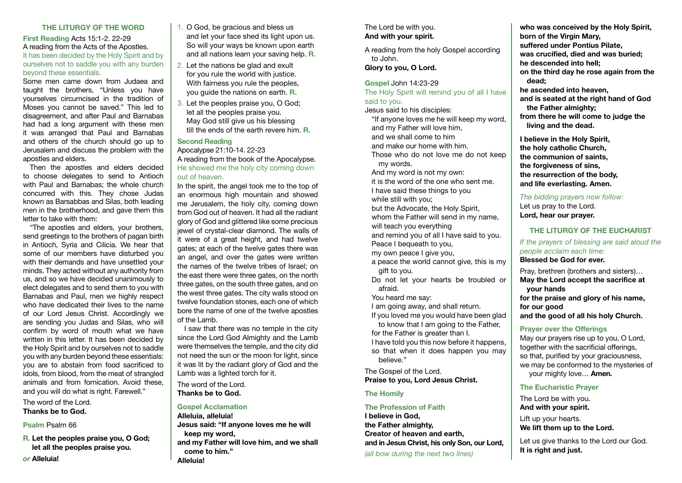# **THE LITURGY OF THE WORD First Reading** Acts 15:1-2. 22-29 A reading from the Acts of the Apostles.

It has been decided by the Holy Spirit and by ourselves not to saddle you with any burden beyond these essentials.

Some men came down from Judaea and taught the brothers, "Unless you have yourselves circumcised in the tradition of Moses you cannot be saved." This led to disagreement, and after Paul and Barnabas had had a long argument with these men it was arranged that Paul and Barnabas and others of the church should go up to Jerusalem and discuss the problem with the apostles and elders.

Then the apostles and elders decided to choose delegates to send to Antioch with Paul and Barnabas; the whole church concurred with this. They chose Judas known as Barsabbas and Silas, both leading men in the brotherhood, and gave them this letter to take with them:

"The apostles and elders, your brothers, send greetings to the brothers of pagan birth in Antioch, Syria and Cilicia. We hear that some of our members have disturbed you with their demands and have unsettled your minds. They acted without any authority from us, and so we have decided unanimously to elect delegates and to send them to you with Barnabas and Paul, men we highly respect who have dedicated their lives to the name of our Lord Jesus Christ. Accordingly we are sending you Judas and Silas, who will confirm by word of mouth what we have written in this letter. It has been decided by the Holy Spirit and by ourselves not to saddle you with any burden beyond these essentials: you are to abstain from food sacrificed to idols, from blood, from the meat of strangled animals and from fornication. Avoid these, and you will do what is right. Farewell."

The word of the Lord. **Thanks be to God.**

**Psalm** Psalm 66

- **R. Let the peoples praise you, O God; let all the peoples praise you.**
- *or* **Alleluia!**
- 1. O God, be gracious and bless us and let your face shed its light upon us. So will your ways be known upon earth and all nations learn your saving help. **R.**
- 2. Let the nations be glad and exult for you rule the world with justice. With fairness you rule the peoples, you guide the nations on earth. **R.**
- 3. Let the peoples praise you, O God; let all the peoples praise you. May God still give us his blessing till the ends of the earth revere him. **R.**

#### **Second Reading**

Apocalypse 21:10-14. 22-23 A reading from the book of the Apocalypse. He showed me the holy city coming down out of heaven.

In the spirit, the angel took me to the top of an enormous high mountain and showed me Jerusalem, the holy city, coming down from God out of heaven. It had all the radiant glory of God and glittered like some precious jewel of crystal-clear diamond. The walls of it were of a great height, and had twelve gates; at each of the twelve gates there was an angel, and over the gates were written the names of the twelve tribes of Israel; on the east there were three gates, on the north three gates, on the south three gates, and on the west three gates. The city walls stood on twelve foundation stones, each one of which bore the name of one of the twelve apostles of the Lamb.

I saw that there was no temple in the city since the Lord God Almighty and the Lamb were themselves the temple, and the city did not need the sun or the moon for light, since it was lit by the radiant glory of God and the Lamb was a lighted torch for it.

The word of the Lord. **Thanks be to God.**

## **Gospel Acclamation**

**Alleluia, alleluia! Jesus said: "If anyone loves me he will keep my word, and my Father will love him, and we shall come to him." Alleluia!**

# The Lord be with you. **And with your spirit.**

A reading from the holy Gospel according to John. **Glory to you, O Lord.** 

**Gospel** John 14:23-29

The Holy Spirit will remind you of all I have said to you.

Jesus said to his disciples:

"If anyone loves me he will keep my word, and my Father will love him, and we shall come to him

and make our home with him.

Those who do not love me do not keep my words.

And my word is not my own:

it is the word of the one who sent me. I have said these things to you

while still with you:

but the Advocate, the Holy Spirit, whom the Father will send in my name,

will teach you everything

and remind you of all I have said to you. Peace I bequeath to you,

my own peace I give you,

- a peace the world cannot give, this is my gift to you.
- Do not let your hearts be troubled or afraid.

You heard me say:

I am going away, and shall return.

If you loved me you would have been glad to know that I am going to the Father,

for the Father is greater than I.

I have told you this now before it happens,

so that when it does happen you may believe."

The Gospel of the Lord. **Praise to you, Lord Jesus Christ.**

# **The Homily**

### **The Profession of Faith**

**I believe in God, the Father almighty, Creator of heaven and earth, and in Jesus Christ, his only Son, our Lord,**

*(all bow during the next two lines)*

**who was conceived by the Holy Spirit, born of the Virgin Mary, suffered under Pontius Pilate, was crucified, died and was buried; he descended into hell; on the third day he rose again from the dead; he ascended into heaven, and is seated at the right hand of God the Father almighty; from there he will come to judge the living and the dead.**

**I believe in the Holy Spirit, the holy catholic Church, the communion of saints, the forgiveness of sins, the resurrection of the body, and life everlasting. Amen.**

## *The bidding prayers now follow:*

Let us pray to the Lord. **Lord, hear our prayer.**

# **THE LITURGY OF THE EUCHARIST**

*If the prayers of blessing are said aloud the people acclaim each time:* 

## **Blessed be God for ever.**

Pray, brethren (brothers and sisters)… **May the Lord accept the sacrifice at your hands**

**for the praise and glory of his name, for our good**

**and the good of all his holy Church.**

### **Prayer over the Offerings**

May our prayers rise up to you, O Lord, together with the sacrificial offerings, so that, purified by your graciousness. we may be conformed to the mysteries of your mighty love… **Amen.**

# **The Eucharistic Prayer**

The Lord be with you. **And with your spirit.**

Lift up your hearts. **We lift them up to the Lord.**

Let us give thanks to the Lord our God. **It is right and just.**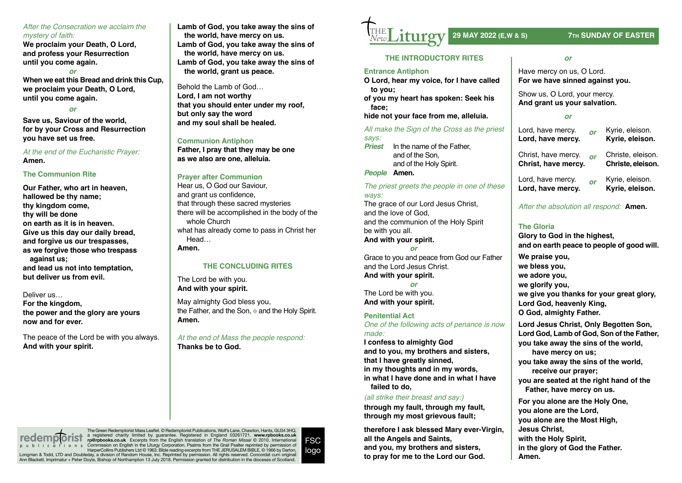# *After the Consecration we acclaim the mystery of faith:*

**We proclaim your Death, O Lord, and profess your Resurrection until you come again.**

*or*

**When we eat this Bread and drink this Cup, we proclaim your Death, O Lord, until you come again.**

*or*

**Save us, Saviour of the world, for by your Cross and Resurrection you have set us free.**

*At the end of the Eucharistic Prayer:*  **Amen.**

## **The Communion Rite**

**Our Father, who art in heaven, hallowed be thy name; thy kingdom come, thy will be done on earth as it is in heaven. Give us this day our daily bread, and forgive us our trespasses, as we forgive those who trespass against us; and lead us not into temptation,**

**but deliver us from evil.**

### Deliver us…

**For the kingdom, the power and the glory are yours now and for ever.**

The peace of the Lord be with you always. **And with your spirit.**

**Lamb of God, you take away the sins of the world, have mercy on us. Lamb of God, you take away the sins of the world, have mercy on us. Lamb of God, you take away the sins of the world, grant us peace.**

Behold the Lamb of God… **Lord, I am not worthy that you should enter under my roof, but only say the word and my soul shall be healed.**

# **Communion Antiphon**

**Father, I pray that they may be one as we also are one, alleluia.**

## **Prayer after Communion**

Hear us, O God our Saviour, and grant us confidence, that through these sacred mysteries there will be accomplished in the body of the whole Church what has already come to pass in Christ her Head… **Amen.**

# **THE CONCLUDING RITES**

The Lord be with you. **And with your spirit.**

May almighty God bless you, the Father, and the Son,  $\mathbb F$  and the Holy Spirit. **Amen.**

*At the end of Mass the people respond:* **Thanks be to God.**

**29 MAY 2022 (E,W & S) 7th SUNDAY OF EASTER Liturgy** 

## **THE INTRODUCTORY RITES**

#### **Entrance Antiphon**

**O Lord, hear my voice, for I have called to you; of you my heart has spoken: Seek his face;**

**hide not your face from me, alleluia.**

*All make the Sign of the Cross as the priest says: Priest* In the name of the Father,

and of the Son, and of the Holy Spirit.

*People* **Amen.**

*The priest greets the people in one of these ways:*

The grace of our Lord Jesus Christ. and the love of God, and the communion of the Holy Spirit be with you all. **And with your spirit.**

*or* Grace to you and peace from God our Father

and the Lord Jesus Christ. **And with your spirit.**

*or* The Lord be with you. **And with your spirit.**

## **Penitential Act**

*One of the following acts of penance is now made:*

**I confess to almighty God and to you, my brothers and sisters, that I have greatly sinned, in my thoughts and in my words, in what I have done and in what I have failed to do,**

# *(all strike their breast and say:)*

**through my fault, through my fault, through my most grievous fault;**

**therefore I ask blessed Mary ever-Virgin, all the Angels and Saints, and you, my brothers and sisters, to pray for me to the Lord our God.**

*or*

Have mercy on us, O Lord. **For we have sinned against you.**

Show us, O Lord, your mercy. **And grant us your salvation.**

## *or*

| Lord, have mercy.<br>Lord, have mercy.     | or | Kyrie, eleison.<br>Kyrie, eleison.     |
|--------------------------------------------|----|----------------------------------------|
| Christ, have mercy.<br>Christ, have mercy. | or | Christe, eleison.<br>Christe, eleison. |
| Lord, have mercy.<br>Lord, have mercy.     | or | Kyrie, eleison.<br>Kyrie, eleison.     |

*After the absolution all respond:* **Amen.**

# **The Gloria**

**Glory to God in the highest, and on earth peace to people of good will. We praise you, we bless you, we adore you, we glorify you, we give you thanks for your great glory, Lord God, heavenly King, O God, almighty Father.**

**Lord Jesus Christ, Only Begotten Son, Lord God, Lamb of God, Son of the Father, you take away the sins of the world,**

**have mercy on us; you take away the sins of the world, receive our prayer;**

**you are seated at the right hand of the Father, have mercy on us.**

**For you alone are the Holy One, you alone are the Lord, you alone are the Most High, Jesus Christ, with the Holy Spirit, in the glory of God the Father. Amen.**

**redemp orist** publications

The Green Redemptorist Mass Leaflet.© Redemptorist Publications, Wolf's Lane, Chawton, Hants, GU34 3HQ,<br>a registered charity limited by guarantee. Registered in England 03261721. www.rpbooks.co.uk<br>rp@rpbooks.co.uk Commission on English in the Liturgy Corporation. Psalms from the Grail Psalter reprinted by permission of HarperCollins Publishers Ltd © 1963. Bible reading excerpts from THE JERUSALEM BIBLE, © 1966 by Darton, Longman & Todd, LTD and Doubleday, a division of Random House, Inc. Reprinted by permission. All rights reserved. Concordat cum originali Ann Blackett. Imprimatur + Peter Doyle, Bishop of Northampton 13 July 2018. Permission granted for distribution in the dioceses of Scotland.

FSC logo